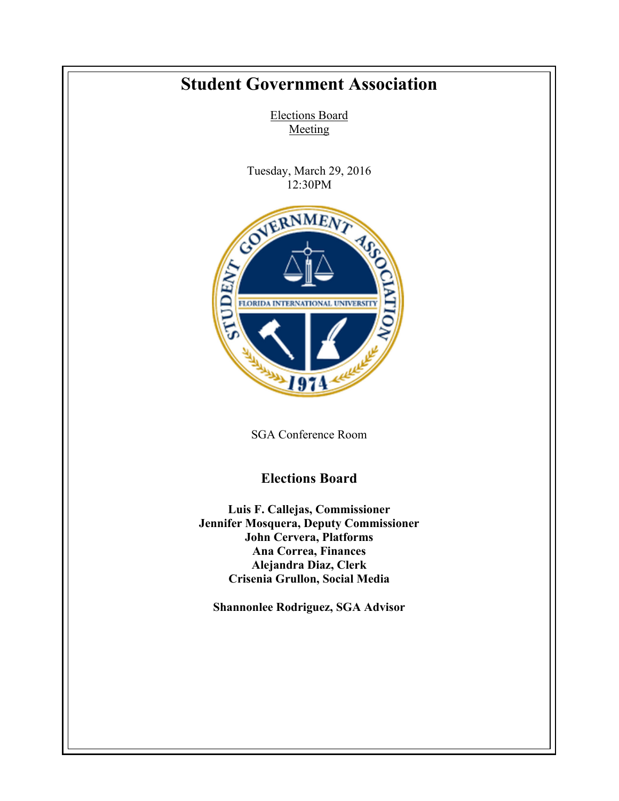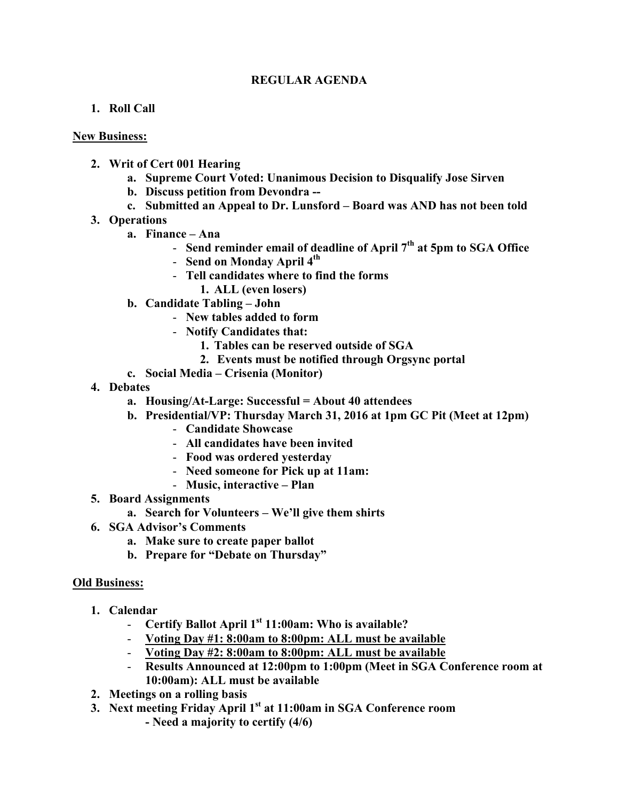## **REGULAR AGENDA**

## **1. Roll Call**

## **New Business:**

- **2. Writ of Cert 001 Hearing**
	- **a. Supreme Court Voted: Unanimous Decision to Disqualify Jose Sirven**
	- **b. Discuss petition from Devondra --**
	- **c. Submitted an Appeal to Dr. Lunsford – Board was AND has not been told**
- **3. Operations**
	- **a. Finance – Ana**
		- **Send reminder email of deadline of April 7th at 5pm to SGA Office**
		- **Send on Monday April 4th**
		- **Tell candidates where to find the forms**
			- **1. ALL (even losers)**
	- **b. Candidate Tabling – John**
		- **New tables added to form**
		- **Notify Candidates that:**
			- **1. Tables can be reserved outside of SGA**
			- **2. Events must be notified through Orgsync portal**
	- **c. Social Media – Crisenia (Monitor)**
- **4. Debates**
	- **a. Housing/At-Large: Successful = About 40 attendees**
	- **b. Presidential/VP: Thursday March 31, 2016 at 1pm GC Pit (Meet at 12pm)**
		- **Candidate Showcase**
		- **All candidates have been invited**
		- **Food was ordered yesterday**
		- **Need someone for Pick up at 11am:**
		- **Music, interactive – Plan**
- **5. Board Assignments**
	- **a. Search for Volunteers – We'll give them shirts**
- **6. SGA Advisor's Comments**
	- **a. Make sure to create paper ballot**
	- **b. Prepare for "Debate on Thursday"**

## **Old Business:**

- **1. Calendar**
	- **Certify Ballot April 1st 11:00am: Who is available?**
	- **Voting Day #1: 8:00am to 8:00pm: ALL must be available**
	- **Voting Day #2: 8:00am to 8:00pm: ALL must be available**
	- **Results Announced at 12:00pm to 1:00pm (Meet in SGA Conference room at 10:00am): ALL must be available**
- **2. Meetings on a rolling basis**
- **3. Next meeting Friday April 1st at 11:00am in SGA Conference room - Need a majority to certify (4/6)**